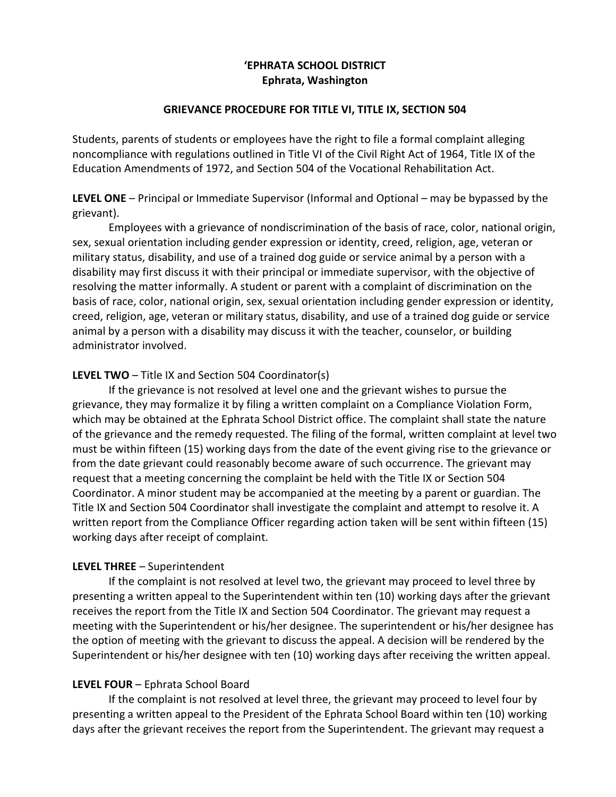# 'EPHRATA SCHOOL DISTRICT Ephrata, Washington

#### GRIEVANCE PROCEDURE FOR TITLE VI, TITLE IX, SECTION 504

Students, parents of students or employees have the right to file a formal complaint alleging noncompliance with regulations outlined in Title VI of the Civil Right Act of 1964, Title IX of the Education Amendments of 1972, and Section 504 of the Vocational Rehabilitation Act.

LEVEL ONE – Principal or Immediate Supervisor (Informal and Optional – may be bypassed by the grievant).

 Employees with a grievance of nondiscrimination of the basis of race, color, national origin, sex, sexual orientation including gender expression or identity, creed, religion, age, veteran or military status, disability, and use of a trained dog guide or service animal by a person with a disability may first discuss it with their principal or immediate supervisor, with the objective of resolving the matter informally. A student or parent with a complaint of discrimination on the basis of race, color, national origin, sex, sexual orientation including gender expression or identity, creed, religion, age, veteran or military status, disability, and use of a trained dog guide or service animal by a person with a disability may discuss it with the teacher, counselor, or building administrator involved.

## LEVEL TWO – Title IX and Section 504 Coordinator(s)

 If the grievance is not resolved at level one and the grievant wishes to pursue the grievance, they may formalize it by filing a written complaint on a Compliance Violation Form, which may be obtained at the Ephrata School District office. The complaint shall state the nature of the grievance and the remedy requested. The filing of the formal, written complaint at level two must be within fifteen (15) working days from the date of the event giving rise to the grievance or from the date grievant could reasonably become aware of such occurrence. The grievant may request that a meeting concerning the complaint be held with the Title IX or Section 504 Coordinator. A minor student may be accompanied at the meeting by a parent or guardian. The Title IX and Section 504 Coordinator shall investigate the complaint and attempt to resolve it. A written report from the Compliance Officer regarding action taken will be sent within fifteen (15) working days after receipt of complaint.

## LEVEL THREE – Superintendent

 If the complaint is not resolved at level two, the grievant may proceed to level three by presenting a written appeal to the Superintendent within ten (10) working days after the grievant receives the report from the Title IX and Section 504 Coordinator. The grievant may request a meeting with the Superintendent or his/her designee. The superintendent or his/her designee has the option of meeting with the grievant to discuss the appeal. A decision will be rendered by the Superintendent or his/her designee with ten (10) working days after receiving the written appeal.

## LEVEL FOUR – Ephrata School Board

 If the complaint is not resolved at level three, the grievant may proceed to level four by presenting a written appeal to the President of the Ephrata School Board within ten (10) working days after the grievant receives the report from the Superintendent. The grievant may request a